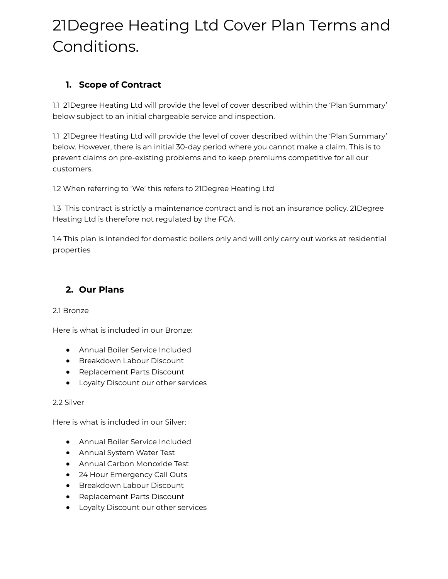# 21Degree Heating Ltd Cover Plan Terms and Conditions.

# **1. Scope of Contract**

1.1 21Degree Heating Ltd will provide the level of cover described within the 'Plan Summary' below subject to an initial chargeable service and inspection.

1.1 21Degree Heating Ltd will provide the level of cover described within the 'Plan Summary' below. However, there is an initial 30-day period where you cannot make a claim. This is to prevent claims on pre-existing problems and to keep premiums competitive for all our customers.

1.2 When referring to 'We' this refers to 21Degree Heating Ltd

1.3 This contract is strictly a maintenance contract and is not an insurance policy. 21Degree Heating Ltd is therefore not regulated by the FCA.

1.4 This plan is intended for domestic boilers only and will only carry out works at residential properties

# **2. Our Plans**

### 2.1 Bronze

Here is what is included in our Bronze:

- Annual Boiler Service Included
- Breakdown Labour Discount
- Replacement Parts Discount
- Loyalty Discount our other services

#### 2.2 Silver

Here is what is included in our Silver:

- Annual Boiler Service Included
- Annual System Water Test
- Annual Carbon Monoxide Test
- 24 Hour Emergency Call Outs
- Breakdown Labour Discount
- Replacement Parts Discount
- Loyalty Discount our other services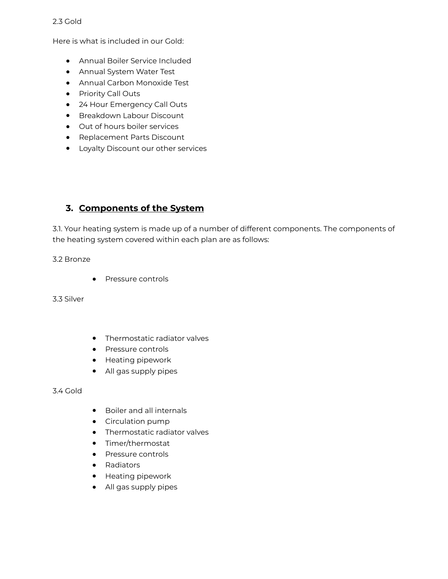#### 2.3 Gold

Here is what is included in our Gold:

- Annual Boiler Service Included
- Annual System Water Test
- Annual Carbon Monoxide Test
- Priority Call Outs
- 24 Hour Emergency Call Outs
- Breakdown Labour Discount
- Out of hours boiler services
- Replacement Parts Discount
- Loyalty Discount our other services

## **3. Components of the System**

3.1. Your heating system is made up of a number of different components. The components of the heating system covered within each plan are as follows:

#### 3.2 Bronze

● Pressure controls

3.3 Silver

- Thermostatic radiator valves
- Pressure controls
- Heating pipework
- All gas supply pipes

#### 3.4 Gold

- Boiler and all internals
- Circulation pump
- Thermostatic radiator valves
- Timer/thermostat
- Pressure controls
- Radiators
- Heating pipework
- All gas supply pipes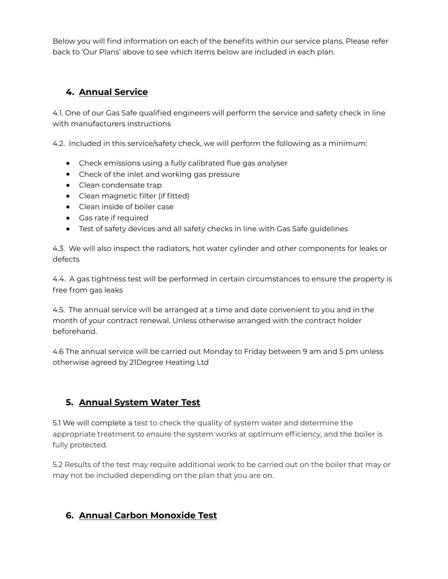Below you will find information on each of the benefits within our service plans. Please refer back to 'Our Plans' above to see which items below are included in each plan.

# **4. Annual Service**

4.1. One of our Gas Safe qualified engineers will perform the service and safety check in line with manufacturers instructions

4.2. Included in this service/safety check, we will perform the following as a minimum:

- Check emissions using a fully calibrated flue gas analyser
- Check of the inlet and working gas pressure
- Clean condensate trap
- Clean magnetic filter (if fitted)
- Clean inside of boiler case
- Gas rate if required
- Test of safety devices and all safety checks in line with Gas Safe guidelines

4.3. We will also inspect the radiators, hot water cylinder and other components for leaks or defects

4.4. A gas tightness test will be performed in certain circumstances to ensure the property is free from gas leaks

4.5. The annual service will be arranged at a time and date convenient to you and in the month of your contract renewal. Unless otherwise arranged with the contract holder beforehand.

4.6 The annual service will be carried out Monday to Friday between 9 am and 5 pm unless otherwise agreed by 21Degree Heating Ltd

# **5. Annual System Water Test**

5.1 We will complete a test to check the quality of system water and determine the appropriate treatment to ensure the system works at optimum efficiency, and the boiler is fully protected.

5.2 Results of the test may require additional work to be carried out on the boiler that may or may not be included depending on the plan that you are on.

# **6. Annual Carbon Monoxide Test**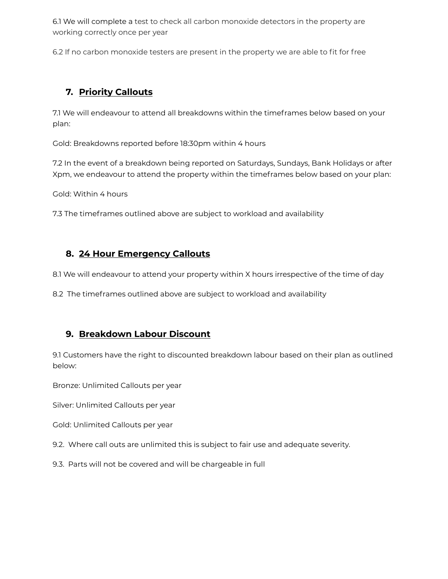6.1 We will complete a test to check all carbon monoxide detectors in the property are working correctly once per year

6.2 If no carbon monoxide testers are present in the property we are able to fit for free

## **7. Priority Callouts**

7.1 We will endeavour to attend all breakdowns within the timeframes below based on your plan:

Gold: Breakdowns reported before 18:30pm within 4 hours

7.2 In the event of a breakdown being reported on Saturdays, Sundays, Bank Holidays or after Xpm, we endeavour to attend the property within the timeframes below based on your plan:

Gold: Within 4 hours

7.3 The timeframes outlined above are subject to workload and availability

## **8. 24 Hour Emergency Callouts**

8.1 We will endeavour to attend your property within X hours irrespective of the time of day

8.2 The timeframes outlined above are subject to workload and availability

### **9. Breakdown Labour Discount**

9.1 Customers have the right to discounted breakdown labour based on their plan as outlined below:

Bronze: Unlimited Callouts per year

Silver: Unlimited Callouts per year

Gold: Unlimited Callouts per year

9.2. Where call outs are unlimited this is subject to fair use and adequate severity.

9.3. Parts will not be covered and will be chargeable in full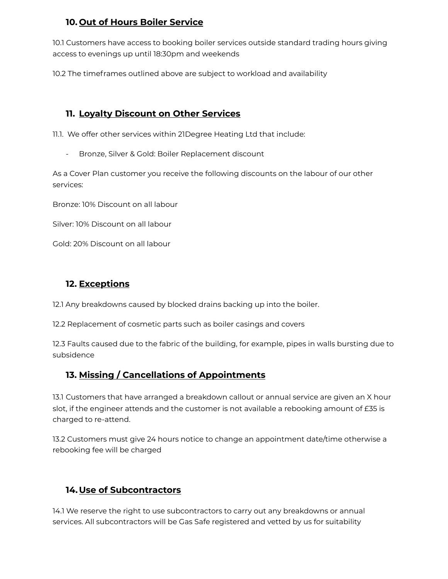# **10. Out of Hours Boiler Service**

10.1 Customers have access to booking boiler services outside standard trading hours giving access to evenings up until 18:30pm and weekends

10.2 The timeframes outlined above are subject to workload and availability

# **11. Loyalty Discount on Other Services**

11.1. We offer other services within 21Degree Heating Ltd that include:

- Bronze, Silver & Gold: Boiler Replacement discount

As a Cover Plan customer you receive the following discounts on the labour of our other services:

Bronze: 10% Discount on all labour

Silver: 10% Discount on all labour

Gold: 20% Discount on all labour

# **12. Exceptions**

12.1 Any breakdowns caused by blocked drains backing up into the boiler.

12.2 Replacement of cosmetic parts such as boiler casings and covers

12.3 Faults caused due to the fabric of the building, for example, pipes in walls bursting due to subsidence

# **13. Missing / Cancellations of Appointments**

13.1 Customers that have arranged a breakdown callout or annual service are given an X hour slot, if the engineer attends and the customer is not available a rebooking amount of £35 is charged to re-attend.

13.2 Customers must give 24 hours notice to change an appointment date/time otherwise a rebooking fee will be charged

# **14.Use of Subcontractors**

14.1 We reserve the right to use subcontractors to carry out any breakdowns or annual services. All subcontractors will be Gas Safe registered and vetted by us for suitability